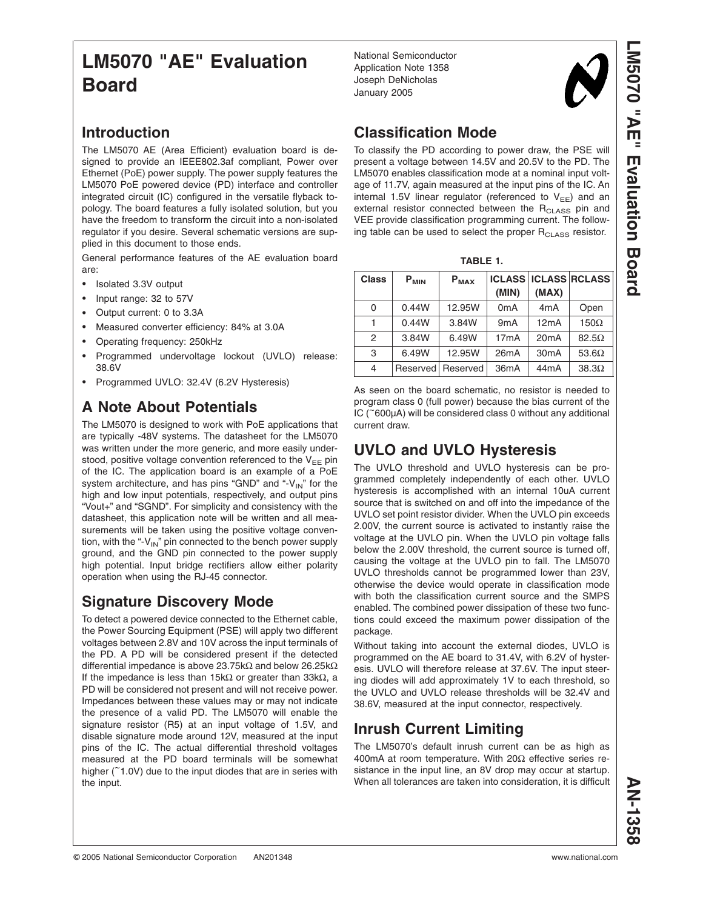# **LM5070 "AE" Evaluation Board**

### **Introduction**

The LM5070 AE (Area Efficient) evaluation board is designed to provide an IEEE802.3af compliant, Power over Ethernet (PoE) power supply. The power supply features the LM5070 PoE powered device (PD) interface and controller integrated circuit (IC) configured in the versatile flyback topology. The board features a fully isolated solution, but you have the freedom to transform the circuit into a non-isolated regulator if you desire. Several schematic versions are supplied in this document to those ends.

General performance features of the AE evaluation board are:

- Isolated 3.3V output
- Input range: 32 to 57V
- Output current: 0 to 3.3A
- Measured converter efficiency: 84% at 3.0A
- Operating frequency: 250kHz
- Programmed undervoltage lockout (UVLO) release: 38.6V
- Programmed UVLO: 32.4V (6.2V Hysteresis)

# **A Note About Potentials**

The LM5070 is designed to work with PoE applications that are typically -48V systems. The datasheet for the LM5070 was written under the more generic, and more easily understood, positive voltage convention referenced to the  $V_{EE}$  pin of the IC. The application board is an example of a PoE system architecture, and has pins "GND" and "- $V_{IN}$ " for the high and low input potentials, respectively, and output pins "Vout+" and "SGND". For simplicity and consistency with the datasheet, this application note will be written and all measurements will be taken using the positive voltage convention, with the "- $V_{IN}$ " pin connected to the bench power supply ground, and the GND pin connected to the power supply high potential. Input bridge rectifiers allow either polarity operation when using the RJ-45 connector.

### **Signature Discovery Mode**

To detect a powered device connected to the Ethernet cable, the Power Sourcing Equipment (PSE) will apply two different voltages between 2.8V and 10V across the input terminals of the PD. A PD will be considered present if the detected differential impedance is above 23.75kΩ and below 26.25kΩ If the impedance is less than 15kΩ or greater than 33kΩ, a PD will be considered not present and will not receive power. Impedances between these values may or may not indicate the presence of a valid PD. The LM5070 will enable the signature resistor (R5) at an input voltage of 1.5V, and disable signature mode around 12V, measured at the input pins of the IC. The actual differential threshold voltages measured at the PD board terminals will be somewhat higher (~1.0V) due to the input diodes that are in series with the input.

National Semiconductor Application Note 1358 Joseph DeNicholas January 2005



**LM5070 "AE"** 

**Evaluation**

 **Board**

# **Classification Mode**

To classify the PD according to power draw, the PSE will present a voltage between 14.5V and 20.5V to the PD. The LM5070 enables classification mode at a nominal input voltage of 11.7V, again measured at the input pins of the IC. An internal 1.5V linear regulator (referenced to  $V_{EE}$ ) and an external resistor connected between the  $R<sub>CLASS</sub>$  pin and VEE provide classification programming current. The following table can be used to select the proper  $R_{\text{CLASS}}$  resistor.

| <b>Class</b> | $P_{MIN}$ | $P_{MAX}$         |                   |                   | <b>ICLASS ICLASS RCLASS</b> |
|--------------|-----------|-------------------|-------------------|-------------------|-----------------------------|
|              |           |                   | (MIN)             | (MAX)             |                             |
| 0            | 0.44W     | 12.95W            | 0 <sub>m</sub> A  | 4 <sub>m</sub> A  | Open                        |
|              | 0.44W     | 3.84W             | 9 <sub>m</sub> A  | 12mA              | $150\Omega$                 |
| 2            | 3.84W     | 6.49W             | 17mA              | 20mA              | $82.5\Omega$                |
| 3            | 6.49W     | 12.95W            | 26mA              | 30 <sub>m</sub> A | 53.6 $\Omega$               |
| 4            |           | Reserved Reserved | 36 <sub>m</sub> A | 44 <sub>m</sub> A | $38.3\Omega$                |

As seen on the board schematic, no resistor is needed to program class 0 (full power) because the bias current of the IC (~600µA) will be considered class 0 without any additional current draw.

# **UVLO and UVLO Hysteresis**

The UVLO threshold and UVLO hysteresis can be programmed completely independently of each other. UVLO hysteresis is accomplished with an internal 10uA current source that is switched on and off into the impedance of the UVLO set point resistor divider. When the UVLO pin exceeds 2.00V, the current source is activated to instantly raise the voltage at the UVLO pin. When the UVLO pin voltage falls below the 2.00V threshold, the current source is turned off, causing the voltage at the UVLO pin to fall. The LM5070 UVLO thresholds cannot be programmed lower than 23V, otherwise the device would operate in classification mode with both the classification current source and the SMPS enabled. The combined power dissipation of these two functions could exceed the maximum power dissipation of the package.

Without taking into account the external diodes, UVLO is programmed on the AE board to 31.4V, with 6.2V of hysteresis. UVLO will therefore release at 37.6V. The input steering diodes will add approximately 1V to each threshold, so the UVLO and UVLO release thresholds will be 32.4V and 38.6V, measured at the input connector, respectively.

## **Inrush Current Limiting**

The LM5070's default inrush current can be as high as 400mA at room temperature. With 20Ω effective series resistance in the input line, an 8V drop may occur at startup. When all tolerances are taken into consideration, it is difficult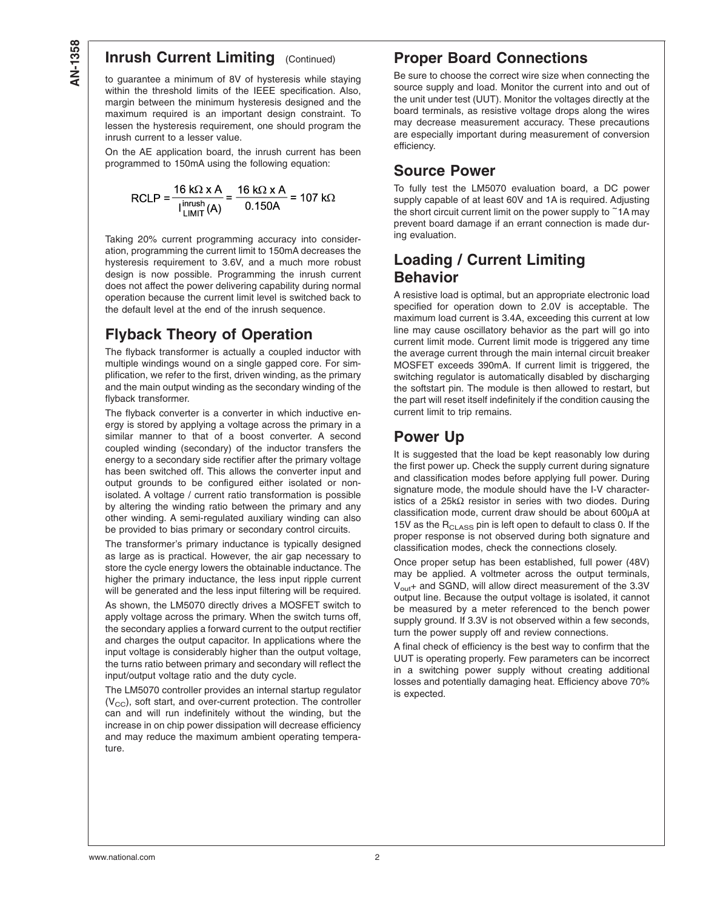### **Inrush Current Limiting (Continued)**

to guarantee a minimum of 8V of hysteresis while staying within the threshold limits of the IEEE specification. Also, margin between the minimum hysteresis designed and the maximum required is an important design constraint. To lessen the hysteresis requirement, one should program the inrush current to a lesser value.

On the AE application board, the inrush current has been programmed to 150mA using the following equation:

$$
RCLP = \frac{16 kΩ \times A}{\lim_{l \to MIT} (A)} = \frac{16 kΩ \times A}{0.150A} = 107 kΩ
$$

Taking 20% current programming accuracy into consideration, programming the current limit to 150mA decreases the hysteresis requirement to 3.6V, and a much more robust design is now possible. Programming the inrush current does not affect the power delivering capability during normal operation because the current limit level is switched back to the default level at the end of the inrush sequence.

## **Flyback Theory of Operation**

The flyback transformer is actually a coupled inductor with multiple windings wound on a single gapped core. For simplification, we refer to the first, driven winding, as the primary and the main output winding as the secondary winding of the flyback transformer.

The flyback converter is a converter in which inductive energy is stored by applying a voltage across the primary in a similar manner to that of a boost converter. A second coupled winding (secondary) of the inductor transfers the energy to a secondary side rectifier after the primary voltage has been switched off. This allows the converter input and output grounds to be configured either isolated or nonisolated. A voltage / current ratio transformation is possible by altering the winding ratio between the primary and any other winding. A semi-regulated auxiliary winding can also be provided to bias primary or secondary control circuits.

The transformer's primary inductance is typically designed as large as is practical. However, the air gap necessary to store the cycle energy lowers the obtainable inductance. The higher the primary inductance, the less input ripple current will be generated and the less input filtering will be required. As shown, the LM5070 directly drives a MOSFET switch to apply voltage across the primary. When the switch turns off, the secondary applies a forward current to the output rectifier and charges the output capacitor. In applications where the input voltage is considerably higher than the output voltage, the turns ratio between primary and secondary will reflect the input/output voltage ratio and the duty cycle.

The LM5070 controller provides an internal startup regulator  $(V_{\text{CC}})$ , soft start, and over-current protection. The controller can and will run indefinitely without the winding, but the increase in on chip power dissipation will decrease efficiency and may reduce the maximum ambient operating temperature.

### **Proper Board Connections**

Be sure to choose the correct wire size when connecting the source supply and load. Monitor the current into and out of the unit under test (UUT). Monitor the voltages directly at the board terminals, as resistive voltage drops along the wires may decrease measurement accuracy. These precautions are especially important during measurement of conversion efficiency.

### **Source Power**

To fully test the LM5070 evaluation board, a DC power supply capable of at least 60V and 1A is required. Adjusting the short circuit current limit on the power supply to  $\tilde{\phantom{a}}$  1A may prevent board damage if an errant connection is made during evaluation.

### **Loading / Current Limiting Behavior**

A resistive load is optimal, but an appropriate electronic load specified for operation down to 2.0V is acceptable. The maximum load current is 3.4A, exceeding this current at low line may cause oscillatory behavior as the part will go into current limit mode. Current limit mode is triggered any time the average current through the main internal circuit breaker MOSFET exceeds 390mA. If current limit is triggered, the switching regulator is automatically disabled by discharging the softstart pin. The module is then allowed to restart, but the part will reset itself indefinitely if the condition causing the current limit to trip remains.

### **Power Up**

It is suggested that the load be kept reasonably low during the first power up. Check the supply current during signature and classification modes before applying full power. During signature mode, the module should have the I-V characteristics of a 25kΩ resistor in series with two diodes. During classification mode, current draw should be about 600µA at 15V as the  $R_{\text{CLASS}}$  pin is left open to default to class 0. If the proper response is not observed during both signature and classification modes, check the connections closely.

Once proper setup has been established, full power (48V) may be applied. A voltmeter across the output terminals,  $V_{\text{out}}$ + and SGND, will allow direct measurement of the 3.3V output line. Because the output voltage is isolated, it cannot be measured by a meter referenced to the bench power supply ground. If 3.3V is not observed within a few seconds, turn the power supply off and review connections.

A final check of efficiency is the best way to confirm that the UUT is operating properly. Few parameters can be incorrect in a switching power supply without creating additional losses and potentially damaging heat. Efficiency above 70% is expected.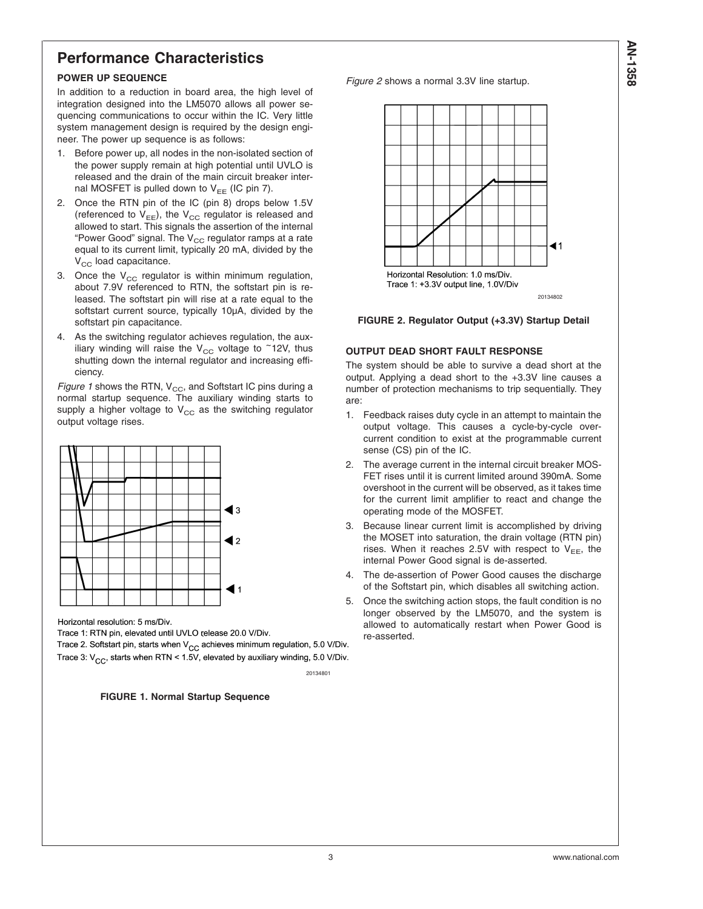## **Performance Characteristics**

### **POWER UP SEQUENCE**

In addition to a reduction in board area, the high level of integration designed into the LM5070 allows all power sequencing communications to occur within the IC. Very little system management design is required by the design engineer. The power up sequence is as follows:

- 1. Before power up, all nodes in the non-isolated section of the power supply remain at high potential until UVLO is released and the drain of the main circuit breaker internal MOSFET is pulled down to  $V_{EE}$  (IC pin 7).
- 2. Once the RTN pin of the IC (pin 8) drops below 1.5V (referenced to  $V_{EE}$ ), the  $V_{CC}$  regulator is released and allowed to start. This signals the assertion of the internal "Power Good" signal. The  $V_{CC}$  regulator ramps at a rate equal to its current limit, typically 20 mA, divided by the  $V_{CC}$  load capacitance.
- 3. Once the  $V_{CC}$  regulator is within minimum regulation, about 7.9V referenced to RTN, the softstart pin is released. The softstart pin will rise at a rate equal to the softstart current source, typically 10µA, divided by the softstart pin capacitance.
- 4. As the switching regulator achieves regulation, the auxiliary winding will raise the  $V_{CC}$  voltage to ~12V, thus shutting down the internal regulator and increasing efficiency.

*Figure 1* shows the RTN, V<sub>CC</sub>, and Softstart IC pins during a normal startup sequence. The auxiliary winding starts to supply a higher voltage to  $V_{CC}$  as the switching regulator output voltage rises.



Horizontal resolution: 5 ms/Div.

Trace 1: RTN pin, elevated until UVLO release 20.0 V/Div.

Trace 2. Softstart pin, starts when V<sub>CC</sub> achieves minimum regulation, 5.0 V/Div. Trace 3:  $V_{CC}$ , starts when RTN < 1.5V, elevated by auxiliary winding, 5.0 V/Div.

20134801

### **FIGURE 1. Normal Startup Sequence**

*Figure 2* shows a normal 3.3V line startup.





#### **OUTPUT DEAD SHORT FAULT RESPONSE**

The system should be able to survive a dead short at the output. Applying a dead short to the +3.3V line causes a number of protection mechanisms to trip sequentially. They are:

- 1. Feedback raises duty cycle in an attempt to maintain the output voltage. This causes a cycle-by-cycle overcurrent condition to exist at the programmable current sense (CS) pin of the IC.
- 2. The average current in the internal circuit breaker MOS-FET rises until it is current limited around 390mA. Some overshoot in the current will be observed, as it takes time for the current limit amplifier to react and change the operating mode of the MOSFET.
- 3. Because linear current limit is accomplished by driving the MOSET into saturation, the drain voltage (RTN pin) rises. When it reaches 2.5V with respect to  $V_{EE}$ , the internal Power Good signal is de-asserted.
- 4. The de-assertion of Power Good causes the discharge of the Softstart pin, which disables all switching action.
- 5. Once the switching action stops, the fault condition is no longer observed by the LM5070, and the system is allowed to automatically restart when Power Good is re-asserted.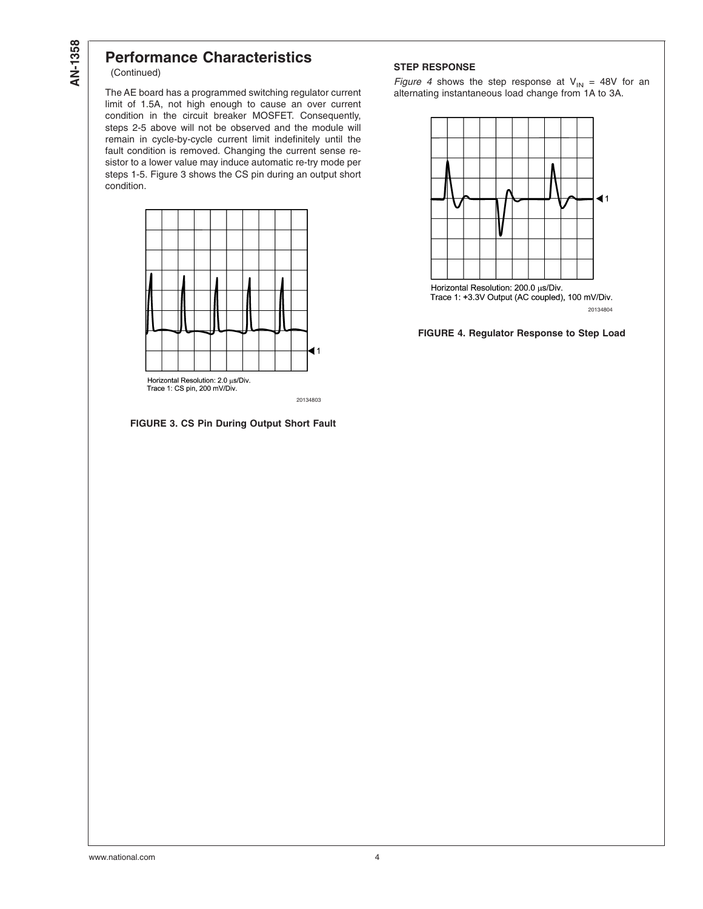# **Performance Characteristics**

(Continued)

The AE board has a programmed switching regulator current limit of 1.5A, not high enough to cause an over current condition in the circuit breaker MOSFET. Consequently, steps 2-5 above will not be observed and the module will remain in cycle-by-cycle current limit indefinitely until the fault condition is removed. Changing the current sense resistor to a lower value may induce automatic re-try mode per steps 1-5. Figure 3 shows the CS pin during an output short condition.



20134803

**FIGURE 3. CS Pin During Output Short Fault**

### **STEP RESPONSE**

*Figure 4* shows the step response at  $V_{IN}$  = 48V for an alternating instantaneous load change from 1A to 3A.



**FIGURE 4. Regulator Response to Step Load**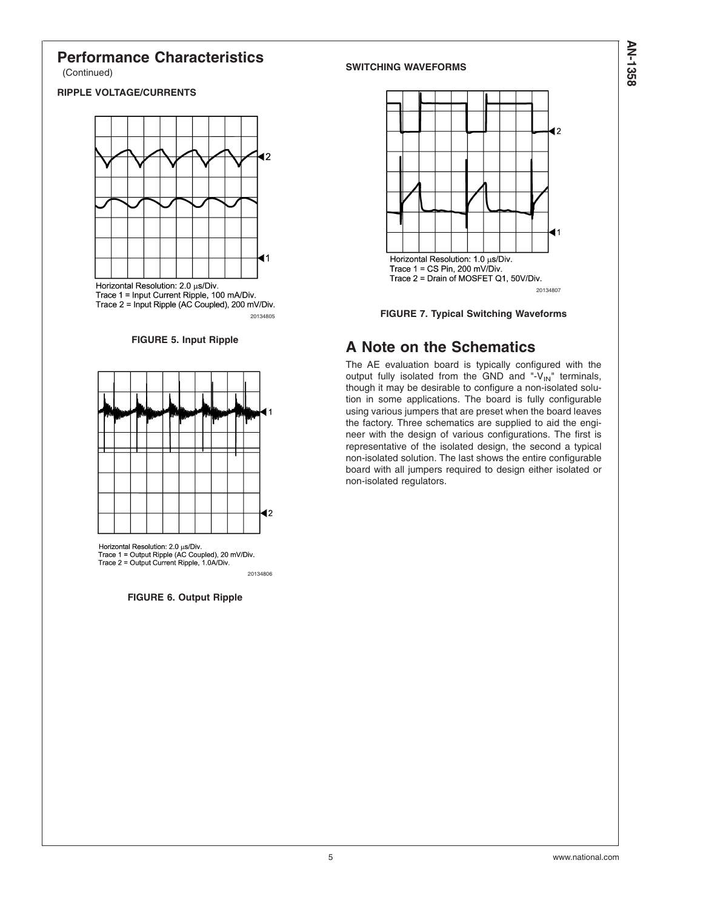### **Performance Characteristics** (Continued)

### **RIPPLE VOLTAGE/CURRENTS**



Horizontal Resolution: 2.0 µs/Div.<br>Trace 1 = Input Current Ripple, 100 mA/Div.<br>Trace 2 = Input Ripple (AC Coupled), 200 mV/Div. 20134805

**FIGURE 5. Input Ripple**



Horizontal Resolution: 2.0 µs/Div.<br>Trace 1 = Output Ripple (AC Coupled), 20 mV/Div. Trace 2 = Output Current Ripple, 1.0A/Div. 20134806

**FIGURE 6. Output Ripple**

#### **SWITCHING WAVEFORMS**





# **A Note on the Schematics**

The AE evaluation board is typically configured with the output fully isolated from the GND and "- $V_{\text{IN}}$ " terminals, though it may be desirable to configure a non-isolated solution in some applications. The board is fully configurable using various jumpers that are preset when the board leaves the factory. Three schematics are supplied to aid the engineer with the design of various configurations. The first is representative of the isolated design, the second a typical non-isolated solution. The last shows the entire configurable board with all jumpers required to design either isolated or non-isolated regulators.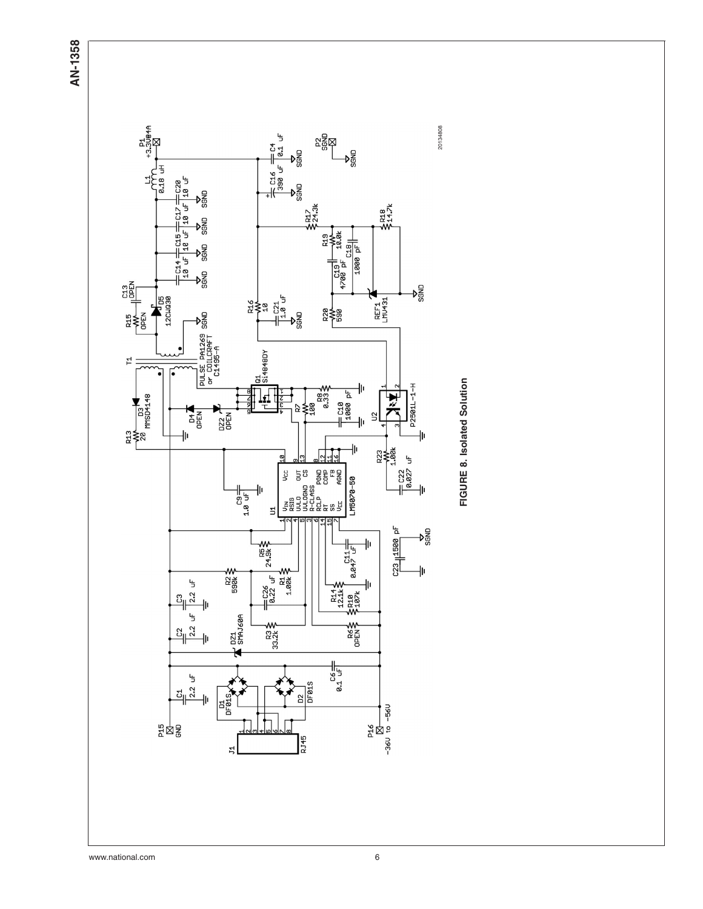**AN-1358**



FIGURE 8. Isolated Solution **FIGURE 8. Isolated Solution**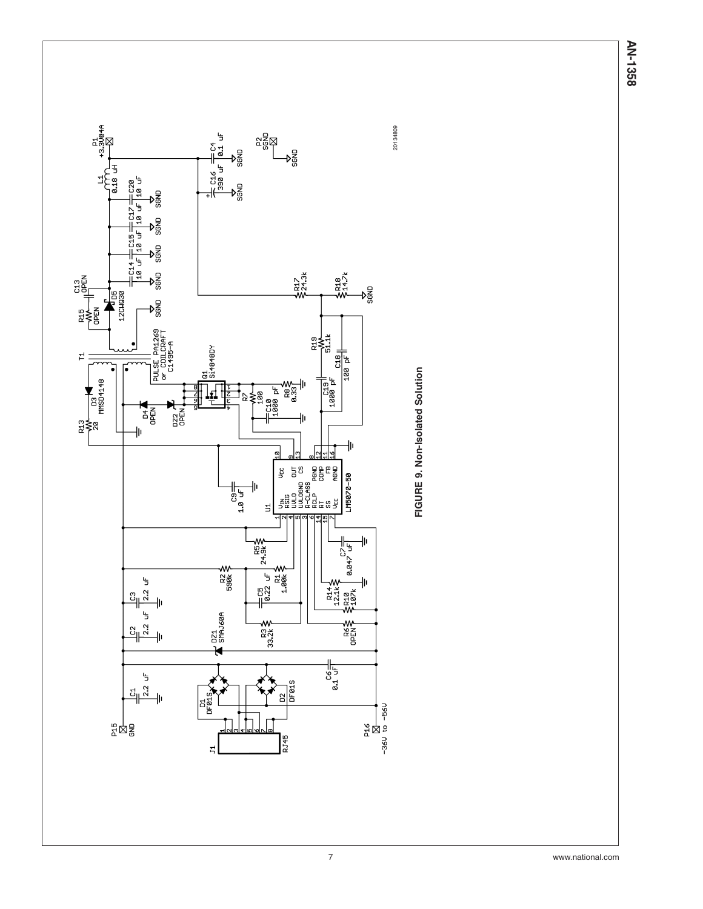

AN-1358 **AN-1358**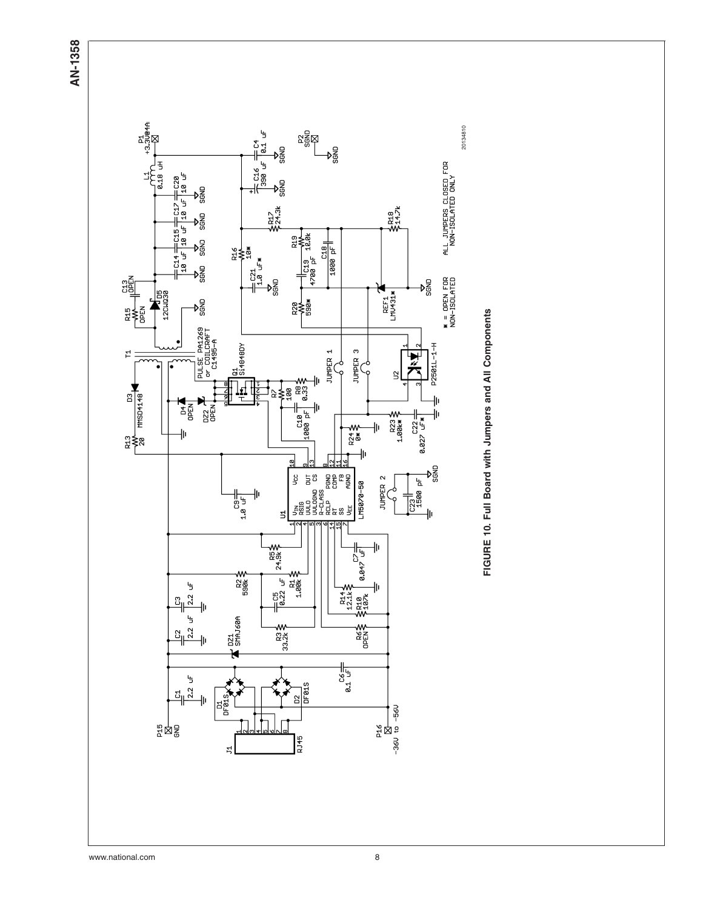**AN-1358**

![](_page_7_Figure_1.jpeg)

www.national.com 8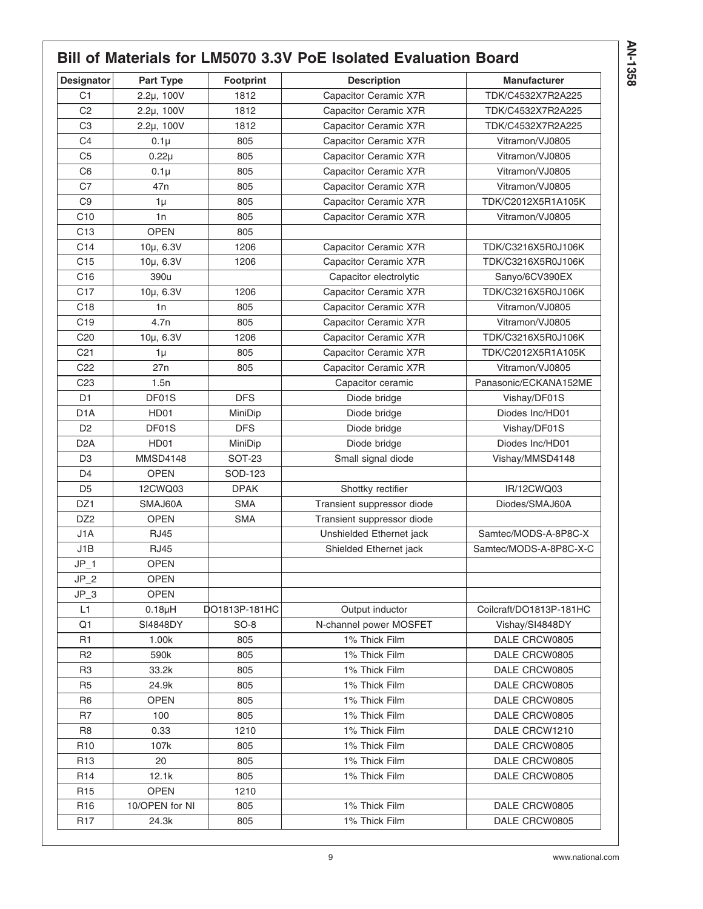# **Bill of Materials for LM5070 3.3V PoE Isolated Evaluation Board**

| <b>Designator</b> | Part Type       | <b>Footprint</b> | <b>Description</b>         | <b>Manufacturer</b>     |
|-------------------|-----------------|------------------|----------------------------|-------------------------|
| C <sub>1</sub>    | $2.2\mu$ , 100V | 1812             | Capacitor Ceramic X7R      | TDK/C4532X7R2A225       |
| C <sub>2</sub>    | $2.2\mu$ , 100V | 1812             | Capacitor Ceramic X7R      | TDK/C4532X7R2A225       |
| C <sub>3</sub>    | $2.2\mu$ , 100V | 1812             | Capacitor Ceramic X7R      | TDK/C4532X7R2A225       |
| C <sub>4</sub>    | $0.1\mu$        | 805              | Capacitor Ceramic X7R      | Vitramon/VJ0805         |
| C <sub>5</sub>    | $0.22\mu$       | 805              | Capacitor Ceramic X7R      | Vitramon/VJ0805         |
| C <sub>6</sub>    | $0.1\mu$        | 805              | Capacitor Ceramic X7R      | Vitramon/VJ0805         |
| C <sub>7</sub>    | 47 <sub>n</sub> | 805              | Capacitor Ceramic X7R      | Vitramon/VJ0805         |
| C <sub>9</sub>    | $1\mu$          | 805              | Capacitor Ceramic X7R      | TDK/C2012X5R1A105K      |
| C10               | 1n              | 805              | Capacitor Ceramic X7R      | Vitramon/VJ0805         |
| C <sub>13</sub>   | <b>OPEN</b>     | 805              |                            |                         |
| C14               | 10µ, 6.3V       | 1206             | Capacitor Ceramic X7R      | TDK/C3216X5R0J106K      |
| C <sub>15</sub>   | 10µ, 6.3V       | 1206             | Capacitor Ceramic X7R      | TDK/C3216X5R0J106K      |
| C16               | 390u            |                  | Capacitor electrolytic     | Sanyo/6CV390EX          |
| C <sub>17</sub>   | 10µ, 6.3V       | 1206             | Capacitor Ceramic X7R      | TDK/C3216X5R0J106K      |
| C18               | 1n              | 805              | Capacitor Ceramic X7R      | Vitramon/VJ0805         |
| C <sub>19</sub>   | 4.7n            | 805              | Capacitor Ceramic X7R      | Vitramon/VJ0805         |
| C <sub>20</sub>   | 10µ, 6.3V       | 1206             | Capacitor Ceramic X7R      | TDK/C3216X5R0J106K      |
| C <sub>21</sub>   | $1\mu$          | 805              | Capacitor Ceramic X7R      | TDK/C2012X5R1A105K      |
| C <sub>22</sub>   | 27n             | 805              | Capacitor Ceramic X7R      | Vitramon/VJ0805         |
| C <sub>23</sub>   | 1.5n            |                  | Capacitor ceramic          | Panasonic/ECKANA152ME   |
| D <sub>1</sub>    | DF01S           | <b>DFS</b>       | Diode bridge               | Vishay/DF01S            |
| D <sub>1</sub> A  | HD01            | MiniDip          | Diode bridge               | Diodes Inc/HD01         |
| D <sub>2</sub>    | DF01S           | <b>DFS</b>       | Diode bridge               | Vishay/DF01S            |
| D <sub>2</sub> A  | HD01            | MiniDip          | Diode bridge               | Diodes Inc/HD01         |
| D <sub>3</sub>    | <b>MMSD4148</b> | <b>SOT-23</b>    | Small signal diode         | Vishay/MMSD4148         |
| D <sub>4</sub>    | <b>OPEN</b>     | SOD-123          |                            |                         |
| D <sub>5</sub>    | 12CWQ03         | <b>DPAK</b>      | Shottky rectifier          | IR/12CWQ03              |
| DZ1               | SMAJ60A         | <b>SMA</b>       | Transient suppressor diode | Diodes/SMAJ60A          |
| DZ <sub>2</sub>   | <b>OPEN</b>     | <b>SMA</b>       | Transient suppressor diode |                         |
| J1A               | <b>RJ45</b>     |                  | Unshielded Ethernet jack   | Samtec/MODS-A-8P8C-X    |
| J1B               | <b>RJ45</b>     |                  | Shielded Ethernet jack     | Samtec/MODS-A-8P8C-X-C  |
| $JP_1$            | <b>OPEN</b>     |                  |                            |                         |
| $JP_2$            | <b>OPEN</b>     |                  |                            |                         |
| $JP_3$            | <b>OPEN</b>     |                  |                            |                         |
| L1                | $0.18\mu H$     | DO1813P-181HC    | Output inductor            | Coilcraft/DO1813P-181HC |
| Q <sub>1</sub>    | SI4848DY        | $SO-8$           | N-channel power MOSFET     | Vishay/SI4848DY         |
| R <sub>1</sub>    | 1.00k           | 805              | 1% Thick Film              | DALE CRCW0805           |
| R <sub>2</sub>    | 590k            | 805              | 1% Thick Film              | DALE CRCW0805           |
| R <sub>3</sub>    | 33.2k           | 805              | 1% Thick Film              | DALE CRCW0805           |
| R <sub>5</sub>    | 24.9k           | 805              | 1% Thick Film              | DALE CRCW0805           |
| R <sub>6</sub>    | <b>OPEN</b>     | 805              | 1% Thick Film              | DALE CRCW0805           |
| R <sub>7</sub>    | 100             | 805              | 1% Thick Film              | DALE CRCW0805           |
| R <sub>8</sub>    | 0.33            | 1210             | 1% Thick Film              | DALE CRCW1210           |
| R <sub>10</sub>   | 107k            | 805              | 1% Thick Film              | DALE CRCW0805           |
| R <sub>13</sub>   | 20              | 805              | 1% Thick Film              | DALE CRCW0805           |
| R <sub>14</sub>   | 12.1k           | 805              | 1% Thick Film              | DALE CRCW0805           |
| R <sub>15</sub>   | <b>OPEN</b>     | 1210             |                            |                         |
| R <sub>16</sub>   | 10/OPEN for NI  | 805              | 1% Thick Film              | DALE CRCW0805           |
| <b>R17</b>        | 24.3k           | 805              | 1% Thick Film              | DALE CRCW0805           |